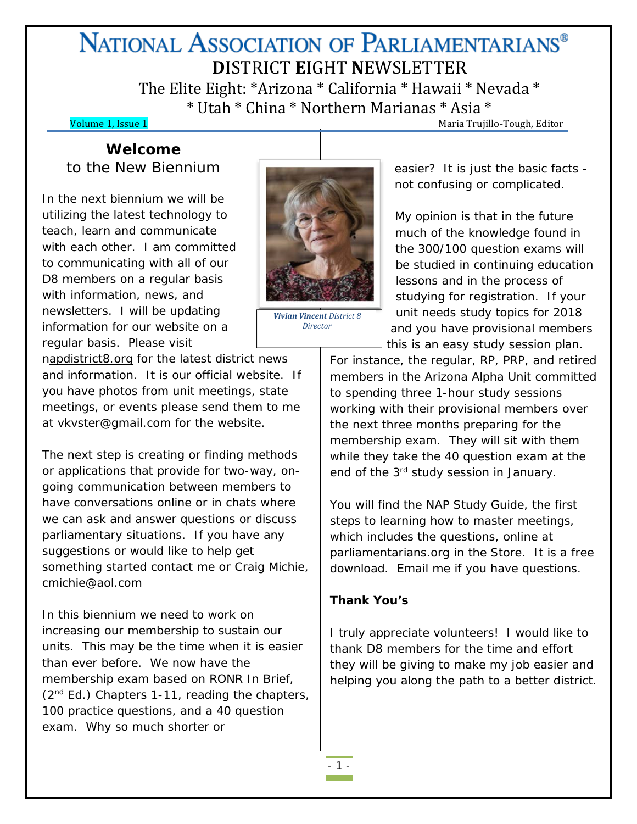# NATIONAL ASSOCIATION OF PARLIAMENTARIANS<sup>®</sup> **D**ISTRICT **E**IGHT **N**EWSLETTER

The Elite Eight: \*Arizona \* California \* Hawaii \* Nevada \* \* Utah \* China \* Northern Marianas \* Asia \*

**Volume 1, Issue 1** Maria Trujillo-Tough, Editor

# **Welcome** to the New Biennium

In the next biennium we will be utilizing the latest technology to teach, learn and communicate with each other. I am committed to communicating with all of our D8 members on a regular basis with information, news, and newsletters. I will be updating information for our website on a regular basis. Please visit

napdistrict8.org for the latest district news and information. It is our official website. If you have photos from unit meetings, state meetings, or events please send them to me at vkvster@gmail.com for the website.

The next step is creating or finding methods or applications that provide for two-way, ongoing communication between members to have conversations online or in chats where we can ask and answer questions or discuss parliamentary situations. If you have any suggestions or would like to help get something started contact me or Craig Michie, cmichie@aol.com

In this biennium we need to work on increasing our membership to sustain our units. This may be the time when it is easier than ever before. We now have the membership exam based on RONR In Brief, (2<sup>nd</sup> Ed.) Chapters 1-11, reading the chapters, 100 practice questions, and a 40 question exam. Why so much shorter or



*Vivian Vincent District 8 Director*

easier? It is just the basic facts not confusing or complicated.

My opinion is that in the future much of the knowledge found in the 300/100 question exams will be studied in continuing education lessons and in the process of studying for registration. If your unit needs study topics for 2018 and you have provisional members this is an easy study session plan.

For instance, the regular, RP, PRP, and retired members in the Arizona Alpha Unit committed to spending three 1-hour study sessions working with their provisional members over the next three months preparing for the membership exam. They will sit with them while they take the 40 question exam at the end of the 3<sup>rd</sup> study session in January.

You will find the NAP Study Guide, the first steps to learning how to master meetings, which includes the questions, online at parliamentarians.org in the Store. It is a free download. Email me if you have questions.

#### **Thank You's**

I truly appreciate volunteers! I would like to thank D8 members for the time and effort they will be giving to make my job easier and helping you along the path to a better district.

- 1 -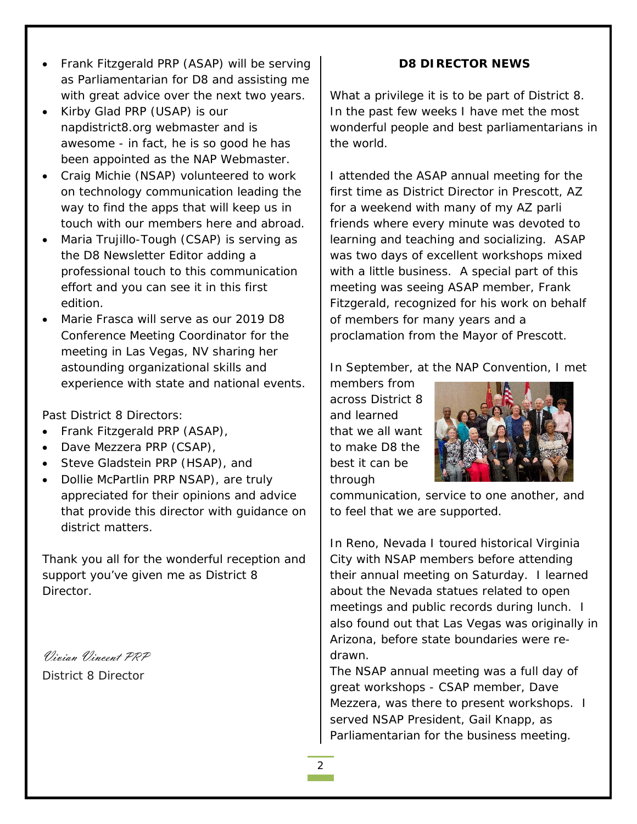- Frank Fitzgerald PRP (ASAP) will be serving as Parliamentarian for D8 and assisting me with great advice over the next two years.
- Kirby Glad PRP (USAP) is our napdistrict8.org webmaster and is awesome - in fact, he is so good he has been appointed as the NAP Webmaster.
- Craig Michie (NSAP) volunteered to work on technology communication leading the way to find the apps that will keep us in touch with our members here and abroad.
- Maria Trujillo-Tough (CSAP) is serving as the D8 Newsletter Editor adding a professional touch to this communication effort and you can see it in this first edition.
- Marie Frasca will serve as our 2019 D8 Conference Meeting Coordinator for the meeting in Las Vegas, NV sharing her astounding organizational skills and experience with state and national events.

Past District 8 Directors:

- Frank Fitzgerald PRP (ASAP),
- Dave Mezzera PRP (CSAP),
- Steve Gladstein PRP (HSAP), and
- Dollie McPartlin PRP NSAP), are truly appreciated for their opinions and advice that provide this director with guidance on district matters.

Thank you all for the wonderful reception and support you've given me as District 8 Director.

Vivian Vincent PRP District 8 Director

### **D8 DIRECTOR NEWS**

What a privilege it is to be part of District 8. In the past few weeks I have met the most wonderful people and best parliamentarians in the world.

I attended the ASAP annual meeting for the first time as District Director in Prescott, AZ for a weekend with many of my AZ parli friends where every minute was devoted to learning and teaching and socializing. ASAP was two days of excellent workshops mixed with a little business. A special part of this meeting was seeing ASAP member, Frank Fitzgerald, recognized for his work on behalf of members for many years and a proclamation from the Mayor of Prescott.

In September, at the NAP Convention, I met

members from across District 8 and learned that we all want to make D8 the best it can be through



communication, service to one another, and to feel that we are supported.

In Reno, Nevada I toured historical Virginia City with NSAP members before attending their annual meeting on Saturday. I learned about the Nevada statues related to open meetings and public records during lunch. I also found out that Las Vegas was originally in Arizona, before state boundaries were redrawn.

The NSAP annual meeting was a full day of great workshops - CSAP member, Dave Mezzera, was there to present workshops. I served NSAP President, Gail Knapp, as Parliamentarian for the business meeting.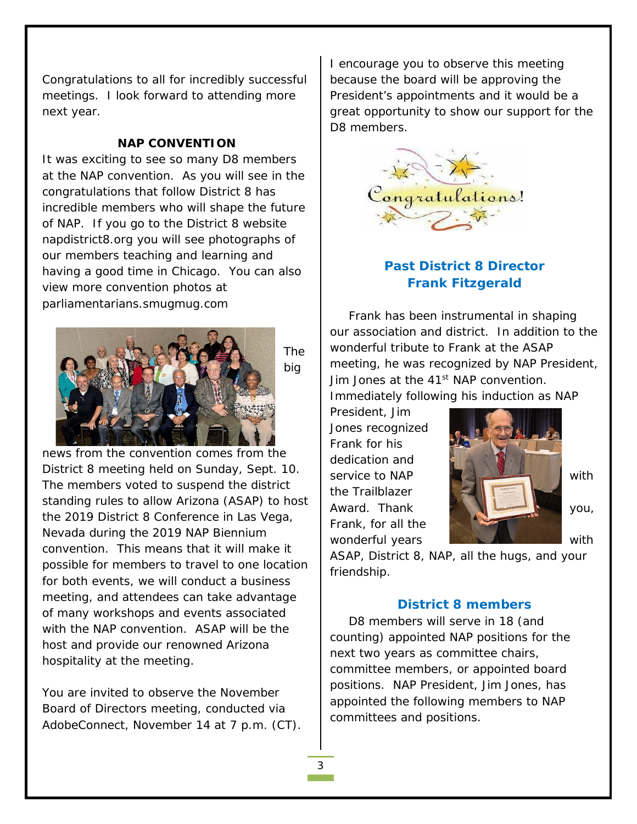Congratulations to all for incredibly successful meetings. I look forward to attending more next year.

#### **NAP CONVENTION**

It was exciting to see so many D8 members at the NAP convention. As you will see in the congratulations that follow District 8 has incredible members who will shape the future of NAP. If you go to the District 8 website napdistrict8.org you will see photographs of our members teaching and learning and having a good time in Chicago. You can also view more convention photos at parliamentarians.smugmug.com



The big

news from the convention comes from the District 8 meeting held on Sunday, Sept. 10. The members voted to suspend the district standing rules to allow Arizona (ASAP) to host the 2019 District 8 Conference in Las Vega, Nevada during the 2019 NAP Biennium convention. This means that it will make it possible for members to travel to one location for both events, we will conduct a business meeting, and attendees can take advantage of many workshops and events associated with the NAP convention. ASAP will be the host and provide our renowned Arizona hospitality at the meeting.

You are invited to observe the November Board of Directors meeting, conducted via AdobeConnect, November 14 at 7 p.m. (CT). I encourage you to observe this meeting because the board will be approving the President's appointments and it would be a great opportunity to show our support for the D8 members.



# **Past District 8 Director Frank Fitzgerald**

Frank has been instrumental in shaping our association and district. In addition to the wonderful tribute to Frank at the ASAP meeting, he was recognized by NAP President, Jim Jones at the 41<sup>st</sup> NAP convention. Immediately following his induction as NAP

President, Jim Jones recognized Frank for his dedication and the Trailblazer Frank, for all the



ASAP, District 8, NAP, all the hugs, and your friendship.

#### **District 8 members**

D8 members will serve in 18 (and counting) appointed NAP positions for the next two years as committee chairs, committee members, or appointed board positions. NAP President, Jim Jones, has appointed the following members to NAP committees and positions.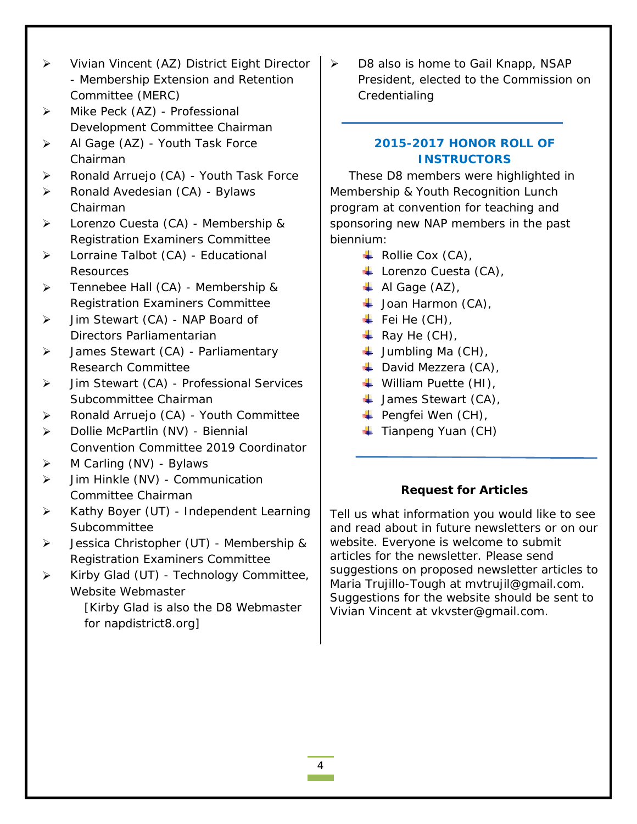- Vivian Vincent (AZ) District Eight Director - Membership Extension and Retention Committee (MERC)
- > Mike Peck (AZ) Professional Development Committee Chairman
- > Al Gage (AZ) Youth Task Force Chairman
- > Ronald Arruejo (CA) Youth Task Force
- ▶ Ronald Avedesian (CA) Bylaws Chairman
- > Lorenzo Cuesta (CA) Membership & Registration Examiners Committee
- > Lorraine Talbot (CA) Educational Resources
- $\triangleright$  Tennebee Hall (CA) Membership & Registration Examiners Committee
- > Jim Stewart (CA) NAP Board of Directors Parliamentarian
- > James Stewart (CA) Parliamentary Research Committee
- > Jim Stewart (CA) Professional Services Subcommittee Chairman
- > Ronald Arruejo (CA) Youth Committee
- > Dollie McPartlin (NV) Biennial Convention Committee 2019 Coordinator
- $\triangleright$  M Carling (NV) Bylaws
- $\triangleright$  Jim Hinkle (NV) Communication Committee Chairman
- Kathy Boyer (UT) Independent Learning **Subcommittee**
- Jessica Christopher (UT) Membership & Registration Examiners Committee
- $\triangleright$  Kirby Glad (UT) Technology Committee, Website Webmaster

[Kirby Glad is also the D8 Webmaster for napdistrict8.org]

 $\triangleright$  D8 also is home to Gail Knapp, NSAP President, elected to the Commission on **Credentialing** 

## **2015-2017 HONOR ROLL OF INSTRUCTORS**

These D8 members were highlighted in Membership & Youth Recognition Lunch program at convention for teaching and sponsoring new NAP members in the past biennium:

- $\overline{\phantom{a}}$  Rollie Cox (CA),
- Lorenzo Cuesta (CA),
- $\overline{\phantom{a}}$  Al Gage (AZ),
- $\downarrow$  Joan Harmon (CA),
- $\ddot$  Fei He (CH),
- $\overline{\phantom{A}}$  Ray He (CH),
- $\downarrow$  Jumbling Ma (CH),
- David Mezzera (CA),
- William Puette (HI),
- $\downarrow$  James Stewart (CA),
- $\leftarrow$  Pengfei Wen (CH),
- $\blacksquare$  Tianpeng Yuan (CH)

### **Request for Articles**

*Tell us what information you would like to see and read about in future newsletters or on our website. Everyone is welcome to submit articles for the newsletter. Please send suggestions on proposed newsletter articles to Maria Trujillo-Tough at mvtrujil@gmail.com. Suggestions for the website should be sent to Vivian Vincent at vkvster@gmail.com.*